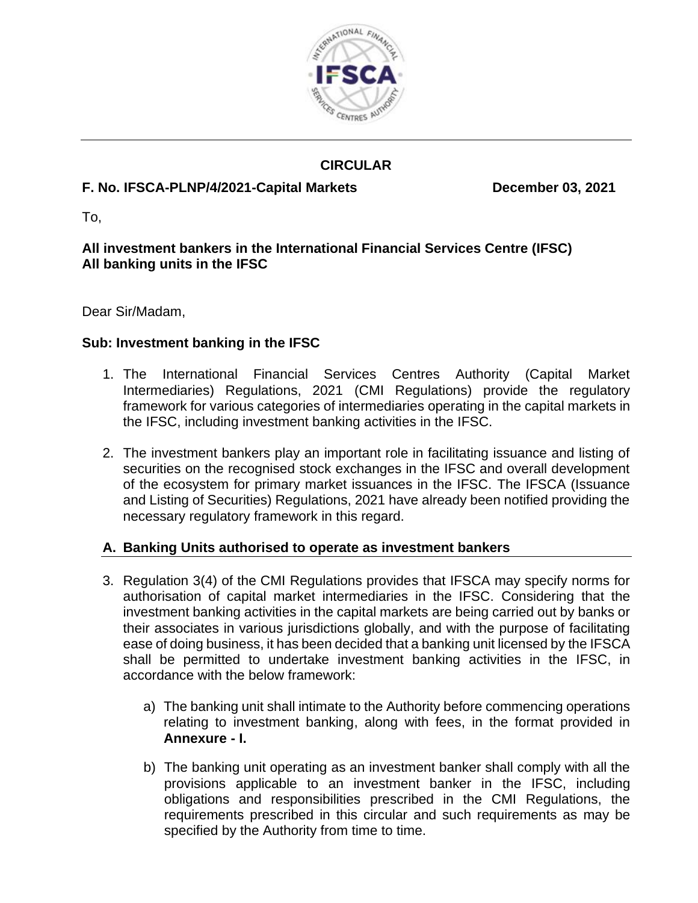

# **CIRCULAR**

# **F. No. IFSCA-PLNP/4/2021-Capital Markets December 03, 2021**

To,

### **All investment bankers in the International Financial Services Centre (IFSC) All banking units in the IFSC**

Dear Sir/Madam,

#### **Sub: Investment banking in the IFSC**

- 1. The International Financial Services Centres Authority (Capital Market Intermediaries) Regulations, 2021 (CMI Regulations) provide the regulatory framework for various categories of intermediaries operating in the capital markets in the IFSC, including investment banking activities in the IFSC.
- 2. The investment bankers play an important role in facilitating issuance and listing of securities on the recognised stock exchanges in the IFSC and overall development of the ecosystem for primary market issuances in the IFSC. The IFSCA (Issuance and Listing of Securities) Regulations, 2021 have already been notified providing the necessary regulatory framework in this regard.

#### **A. Banking Units authorised to operate as investment bankers**

- 3. Regulation 3(4) of the CMI Regulations provides that IFSCA may specify norms for authorisation of capital market intermediaries in the IFSC. Considering that the investment banking activities in the capital markets are being carried out by banks or their associates in various jurisdictions globally, and with the purpose of facilitating ease of doing business, it has been decided that a banking unit licensed by the IFSCA shall be permitted to undertake investment banking activities in the IFSC, in accordance with the below framework:
	- a) The banking unit shall intimate to the Authority before commencing operations relating to investment banking, along with fees, in the format provided in **Annexure - I.**
	- b) The banking unit operating as an investment banker shall comply with all the provisions applicable to an investment banker in the IFSC, including obligations and responsibilities prescribed in the CMI Regulations, the requirements prescribed in this circular and such requirements as may be specified by the Authority from time to time.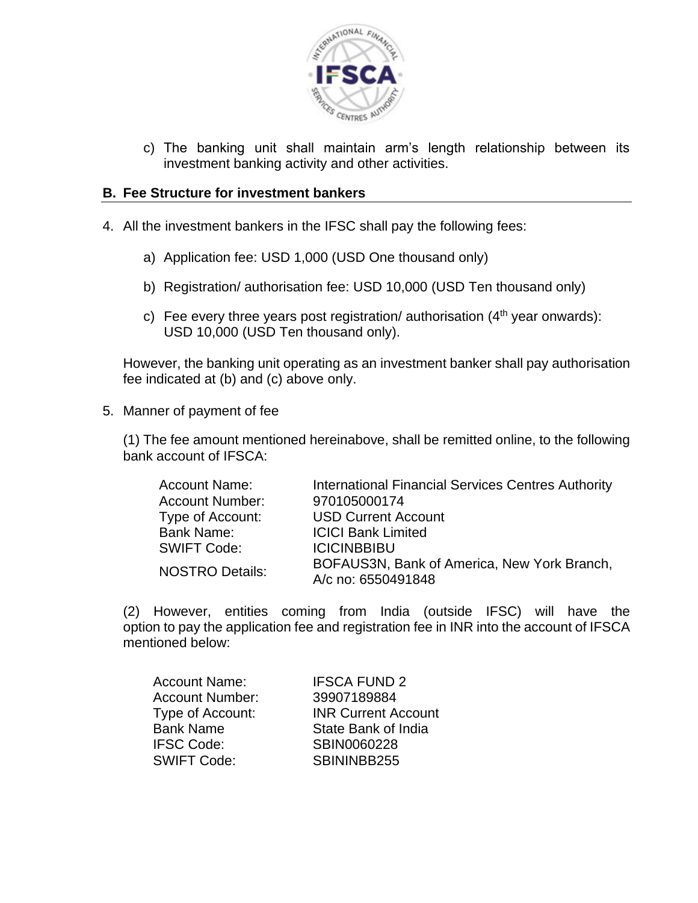

c) The banking unit shall maintain arm's length relationship between its investment banking activity and other activities.

#### **B. Fee Structure for investment bankers**

- 4. All the investment bankers in the IFSC shall pay the following fees:
	- a) Application fee: USD 1,000 (USD One thousand only)
	- b) Registration/ authorisation fee: USD 10,000 (USD Ten thousand only)
	- c) Fee every three years post registration/ authorisation  $(4<sup>th</sup>$  year onwards): USD 10,000 (USD Ten thousand only).

However, the banking unit operating as an investment banker shall pay authorisation fee indicated at (b) and (c) above only.

5. Manner of payment of fee

(1) The fee amount mentioned hereinabove, shall be remitted online, to the following bank account of IFSCA:

| <b>Account Name:</b>   | <b>International Financial Services Centres Authority</b> |
|------------------------|-----------------------------------------------------------|
| <b>Account Number:</b> | 970105000174                                              |
| Type of Account:       | <b>USD Current Account</b>                                |
| <b>Bank Name:</b>      | <b>ICICI Bank Limited</b>                                 |
| <b>SWIFT Code:</b>     | <b>ICICINBBIBU</b>                                        |
| <b>NOSTRO Details:</b> | BOFAUS3N, Bank of America, New York Branch,               |
|                        | A/c no: 6550491848                                        |

(2) However, entities coming from India (outside IFSC) will have the option to pay the application fee and registration fee in INR into the account of IFSCA mentioned below:

| <b>Account Name:</b>   | <b>IFSCA FUND 2</b>        |
|------------------------|----------------------------|
| <b>Account Number:</b> | 39907189884                |
| Type of Account:       | <b>INR Current Account</b> |
| <b>Bank Name</b>       | State Bank of India        |
| <b>IFSC Code:</b>      | SBIN0060228                |
| <b>SWIFT Code:</b>     | SBININBB255                |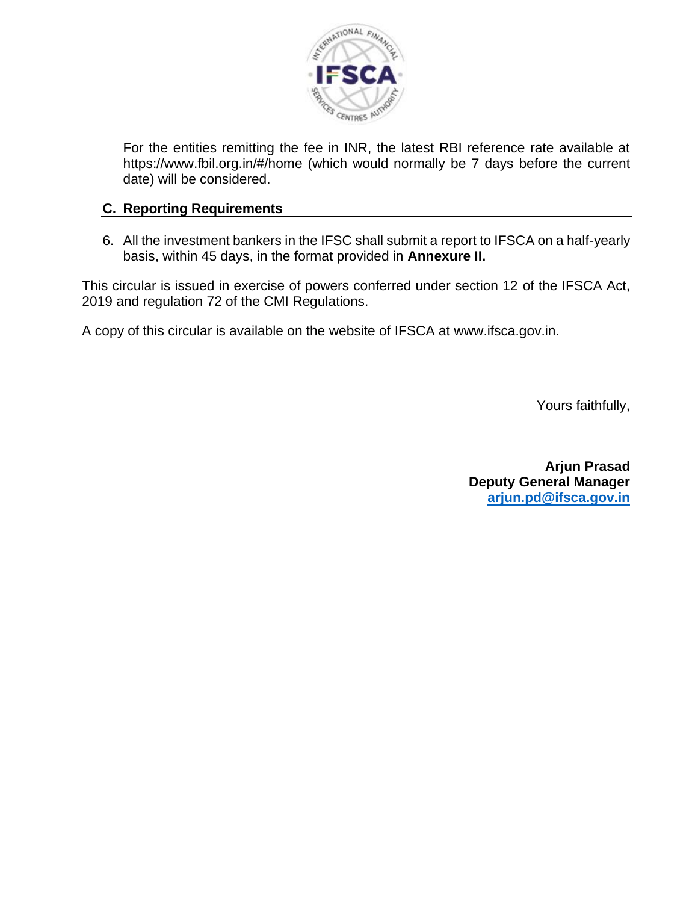

For the entities remitting the fee in INR, the latest RBI reference rate available at https://www.fbil.org.in/#/home (which would normally be 7 days before the current date) will be considered.

#### **C. Reporting Requirements**

6. All the investment bankers in the IFSC shall submit a report to IFSCA on a half-yearly basis, within 45 days, in the format provided in **Annexure II.**

This circular is issued in exercise of powers conferred under section 12 of the IFSCA Act, 2019 and regulation 72 of the CMI Regulations.

A copy of this circular is available on the website of IFSCA at www.ifsca.gov.in.

Yours faithfully,

**Arjun Prasad Deputy General Manager [arjun.pd@ifsca.gov.in](mailto:arjun.pd@ifsca.gov.in)**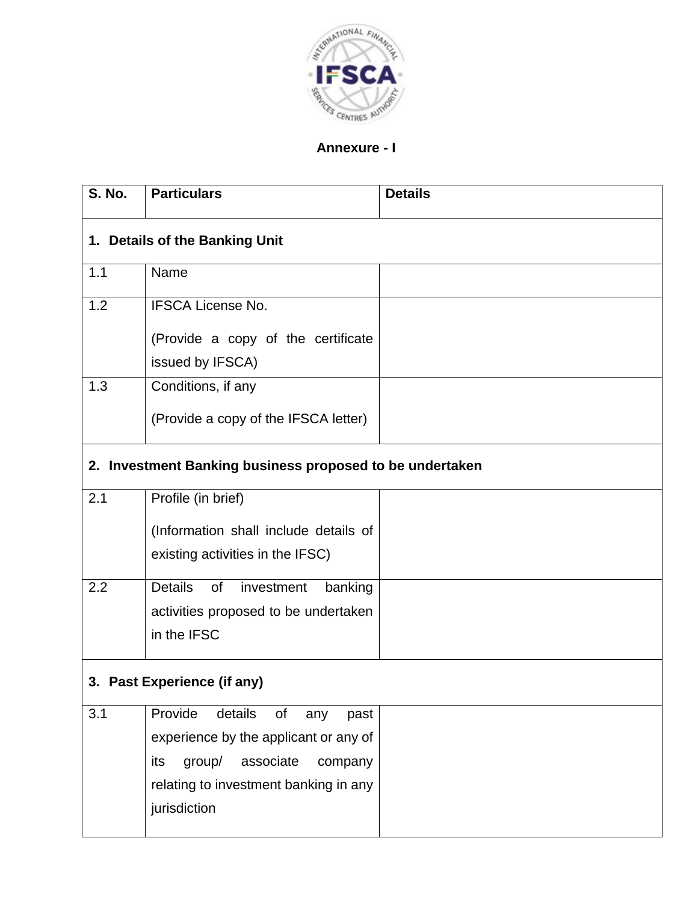

#### **Annexure - I**

| <b>S. No.</b> | <b>Particulars</b>                                       | <b>Details</b> |
|---------------|----------------------------------------------------------|----------------|
|               | 1. Details of the Banking Unit                           |                |
| 1.1           | Name                                                     |                |
| 1.2           | <b>IFSCA License No.</b>                                 |                |
|               | (Provide a copy of the certificate                       |                |
|               | issued by IFSCA)                                         |                |
| 1.3           | Conditions, if any                                       |                |
|               | (Provide a copy of the IFSCA letter)                     |                |
|               | 2. Investment Banking business proposed to be undertaken |                |
| 2.1           | Profile (in brief)                                       |                |
|               | (Information shall include details of                    |                |
|               | existing activities in the IFSC)                         |                |
| 2.2           | <b>Details</b><br>of<br>investment<br>banking            |                |
|               | activities proposed to be undertaken                     |                |
|               | in the IFSC                                              |                |
|               | 3. Past Experience (if any)                              |                |
| 3.1           | Provide<br>details<br>of<br>any<br>past                  |                |
|               | experience by the applicant or any of                    |                |
|               | group/<br>associate<br>its<br>company                    |                |
|               | relating to investment banking in any                    |                |
|               | jurisdiction                                             |                |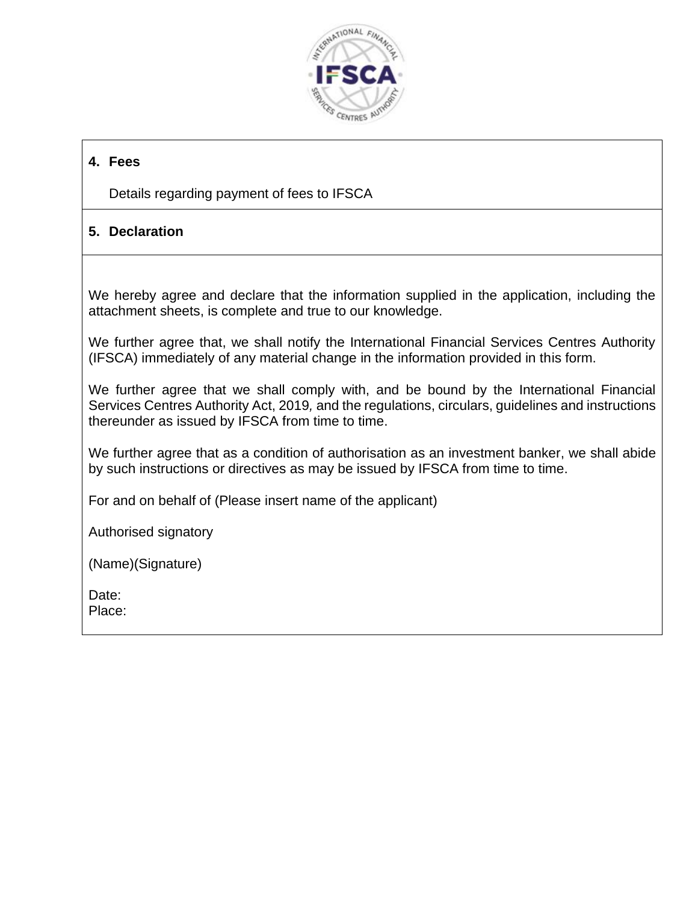

# **4. Fees**

Details regarding payment of fees to IFSCA

# **5. Declaration**

We hereby agree and declare that the information supplied in the application, including the attachment sheets, is complete and true to our knowledge.

We further agree that, we shall notify the International Financial Services Centres Authority (IFSCA) immediately of any material change in the information provided in this form.

We further agree that we shall comply with, and be bound by the International Financial Services Centres Authority Act, 2019*,* and the regulations, circulars, guidelines and instructions thereunder as issued by IFSCA from time to time.

We further agree that as a condition of authorisation as an investment banker, we shall abide by such instructions or directives as may be issued by IFSCA from time to time.

For and on behalf of (Please insert name of the applicant)

Authorised signatory

(Name)(Signature)

Date:

Place: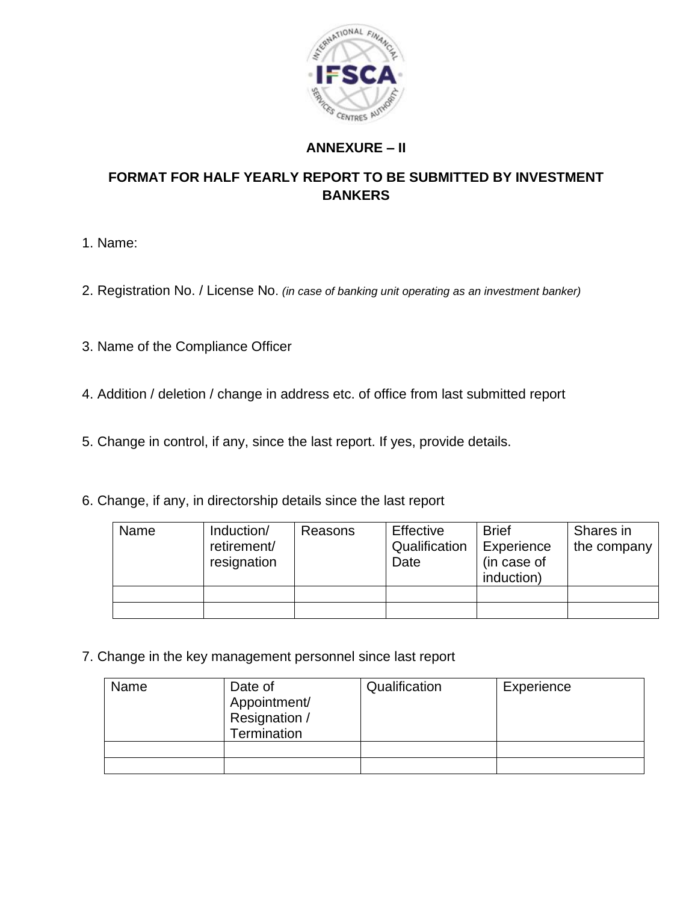

# **ANNEXURE – II**

### **FORMAT FOR HALF YEARLY REPORT TO BE SUBMITTED BY INVESTMENT BANKERS**

- 1. Name:
- 2. Registration No. / License No. *(in case of banking unit operating as an investment banker)*
- 3. Name of the Compliance Officer
- 4. Addition / deletion / change in address etc. of office from last submitted report
- 5. Change in control, if any, since the last report. If yes, provide details.
- 6. Change, if any, in directorship details since the last report

| Name | Induction/<br>retirement/<br>resignation | Reasons | Effective<br>Qualification<br>Date | <b>Brief</b><br>Experience<br>(in case of<br>induction) | Shares in<br>the company |
|------|------------------------------------------|---------|------------------------------------|---------------------------------------------------------|--------------------------|
|      |                                          |         |                                    |                                                         |                          |
|      |                                          |         |                                    |                                                         |                          |

7. Change in the key management personnel since last report

| Name | Date of<br>Appointment/<br>Resignation /<br>Termination | Qualification | Experience |
|------|---------------------------------------------------------|---------------|------------|
|      |                                                         |               |            |
|      |                                                         |               |            |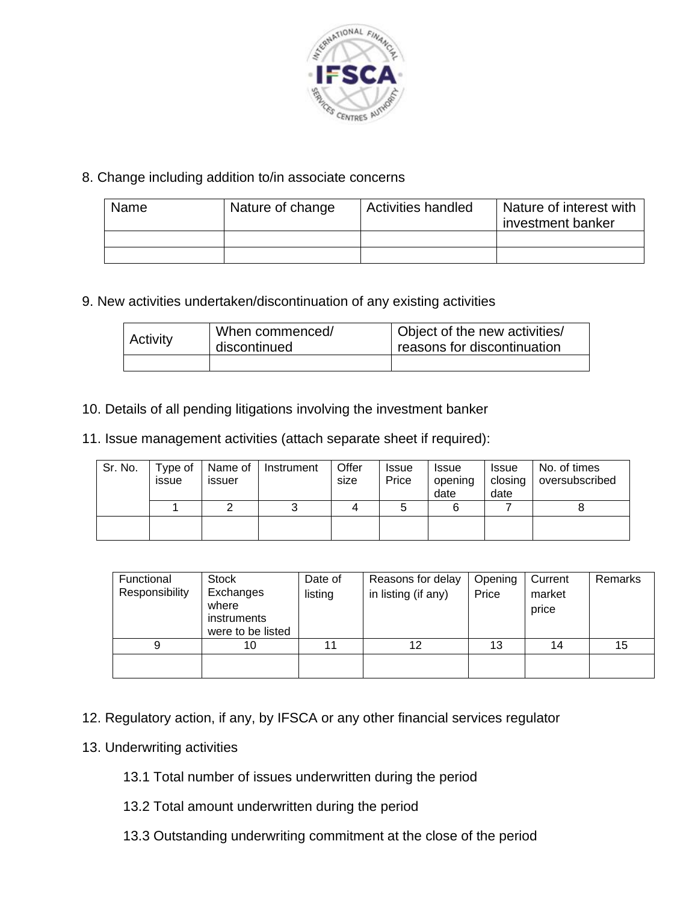

### 8. Change including addition to/in associate concerns

| Name | Nature of change | <b>Activities handled</b> | Nature of interest with<br>I investment banker |
|------|------------------|---------------------------|------------------------------------------------|
|      |                  |                           |                                                |
|      |                  |                           |                                                |

9. New activities undertaken/discontinuation of any existing activities

| When commenced/<br><b>Activity</b><br>discontinued |  | Object of the new activities/<br>reasons for discontinuation |
|----------------------------------------------------|--|--------------------------------------------------------------|
|                                                    |  |                                                              |

10. Details of all pending litigations involving the investment banker

11. Issue management activities (attach separate sheet if required):

| Sr. No. | Type of<br>issue | <b>ISSUEF</b> | Name of Instrument | Offer<br>size | Issue<br>Price | <b>Issue</b><br>opening<br>date | <b>Issue</b><br>closing<br>date | No. of times<br>oversubscribed |
|---------|------------------|---------------|--------------------|---------------|----------------|---------------------------------|---------------------------------|--------------------------------|
|         |                  |               |                    |               |                | 6                               |                                 |                                |
|         |                  |               |                    |               |                |                                 |                                 |                                |

| Functional<br>Responsibility | Stock<br>Exchanges<br>where<br>instruments<br>were to be listed | Date of<br>listing | Reasons for delay<br>in listing (if any) | Opening<br>Price | Current<br>market<br>price | Remarks |
|------------------------------|-----------------------------------------------------------------|--------------------|------------------------------------------|------------------|----------------------------|---------|
| 9                            | 10                                                              | 11                 | 12                                       | 13               | 14                         | 15      |
|                              |                                                                 |                    |                                          |                  |                            |         |

- 12. Regulatory action, if any, by IFSCA or any other financial services regulator
- 13. Underwriting activities
	- 13.1 Total number of issues underwritten during the period
	- 13.2 Total amount underwritten during the period
	- 13.3 Outstanding underwriting commitment at the close of the period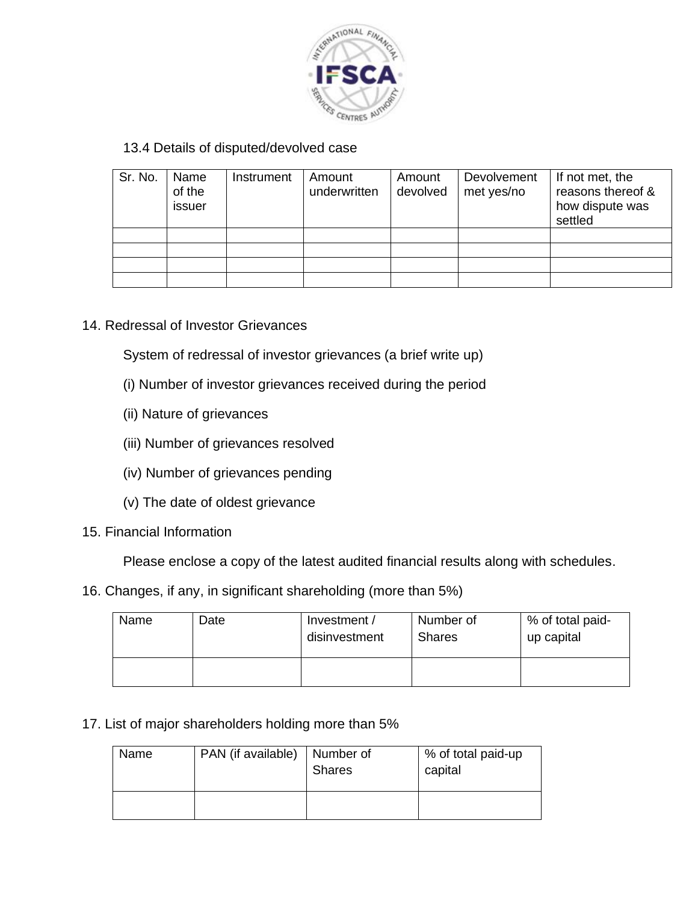

# 13.4 Details of disputed/devolved case

| Sr. No. | Name<br>of the<br>issuer | Instrument | Amount<br>underwritten | Amount<br>devolved | Devolvement<br>met yes/no | If not met, the<br>reasons thereof &<br>how dispute was<br>settled |
|---------|--------------------------|------------|------------------------|--------------------|---------------------------|--------------------------------------------------------------------|
|         |                          |            |                        |                    |                           |                                                                    |
|         |                          |            |                        |                    |                           |                                                                    |
|         |                          |            |                        |                    |                           |                                                                    |
|         |                          |            |                        |                    |                           |                                                                    |

14. Redressal of Investor Grievances

System of redressal of investor grievances (a brief write up)

- (i) Number of investor grievances received during the period
- (ii) Nature of grievances
- (iii) Number of grievances resolved
- (iv) Number of grievances pending
- (v) The date of oldest grievance
- 15. Financial Information

Please enclose a copy of the latest audited financial results along with schedules.

16. Changes, if any, in significant shareholding (more than 5%)

| Name | Date | Investment /<br>disinvestment | Number of<br><b>Shares</b> | % of total paid-<br>up capital |
|------|------|-------------------------------|----------------------------|--------------------------------|
|      |      |                               |                            |                                |

17. List of major shareholders holding more than 5%

| Name | PAN (if available) | Number of<br><b>Shares</b> | % of total paid-up<br>capital |
|------|--------------------|----------------------------|-------------------------------|
|      |                    |                            |                               |